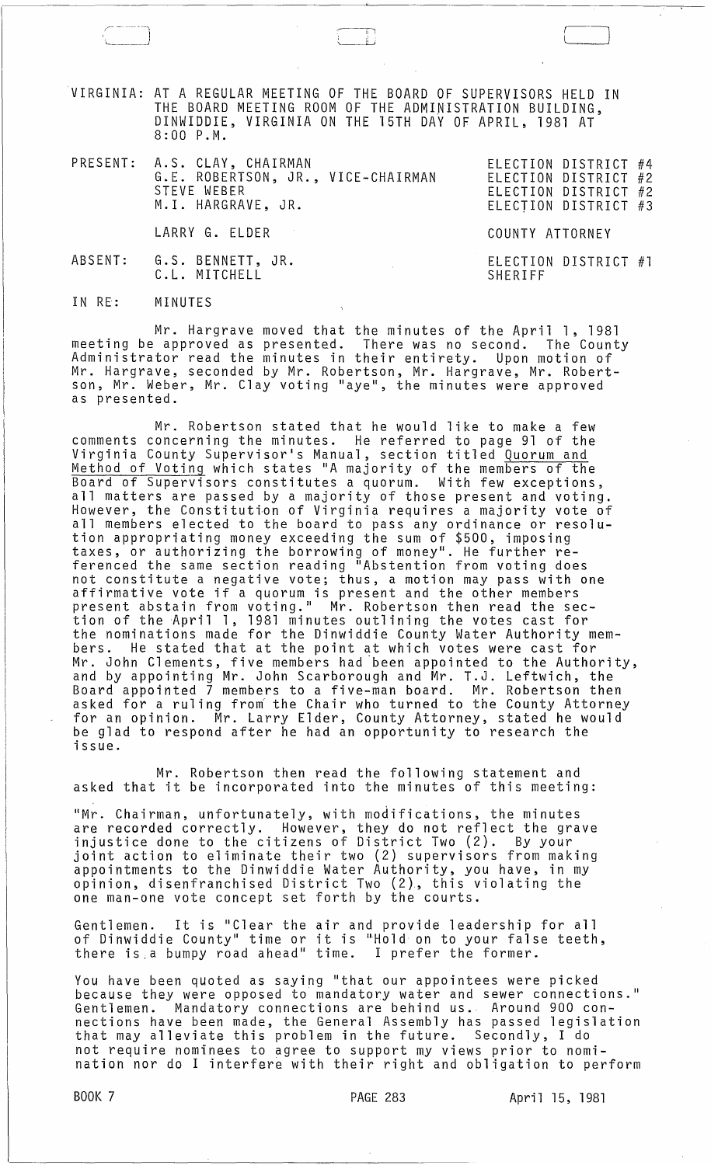VIRGINIA: AT A REGULAR MEETING OF THE BOARD OF SUPERVISORS HELD IN THE BOARD MEETING ROOM OF THE ADMINISTRATION BUILDING, DINWIDDIE, VIRGINIA ON THE 15TH DAY OF APRIL, 1981 AT 8:00 P.M.

 $\overline{a}$ Ii;

| PRESENT: A.S. CLAY, CHAIRMAN<br>G.E. ROBERTSON, JR., VICE-CHAIRMAN<br>STEVE WEBER<br>M.I. HARGRAVE, JR. | ELECTION DISTRICT #4<br>ELECTION DISTRICT #2<br>ELECTION DISTRICT #2<br>ELECTION DISTRICT #3 |
|---------------------------------------------------------------------------------------------------------|----------------------------------------------------------------------------------------------|
| LARRY G. ELDER                                                                                          | COUNTY ATTORNEY                                                                              |
| ABSENT: G.S. BENNETT, JR.<br>C.L. MITCHELL                                                              | ELECTION DISTRICT #1<br>SHERIFF                                                              |

IN RE: MINUTES

Mr. Hargrave moved that the minutes of the April 1, 1981<br>Approved as presented. There was no second. The County meeting be approved as presented. There was no second. Administrator read the minutes in their entirety. Upon motion of Mr. Hargrave, seconded by Mr. Robertson, Mr. Hargrave, Mr. Robertson, Mr. Weber, Mr. Clay voting "aye", the minutes were approved as presented.

Mr. Robertson stated that he would like to make a few comments concerning the minutes. He referred to page 91 of the Virginia County Supervisor's Manual, section titled Quorum and Method of Voting which states "A majority of the members of the Board of Supervisors constitutes a quorum. With few exceptions, all matters are passed by a majority of those present and voting. However, the Constitution of Virginia requires a majority vote of all members elected to the board to pass any ordinance or resolution appropriating money exceeding the sum of \$500, imposing taxes, or authorizing the borrowing of money". He further referenced the same section reading "Abstention from voting does not constitute a negative vote; thus, a motion may pass with one affirmative vote if a quorum is present and the other members present abstain from voting." Mr. Robertson then read the section of the April 1, 1981 minutes outlining the votes cast for the nominations made for the Dinwiddie County Water Authority members. He stated that at the point at which votes were cast for Mr. John Clements, five members had ·been appointed to the Authority, and by appointing Mr. John Scarborough and Mr. T.J. Leftwich, the Board appointed 7 members to a five-man board. Mr. Robertson then asked for a ruling from the Chair who turned to the County Attorney for an opinion. Mr. Larry Elder, County Attorney, stated he would be glad to respond after he had an opportunity to research the issue.

Mr. Robertson then read the following statement and asked that it be incorporated into the minutes of this meeting:

"Mr. Chairman, unfortunately, with modifications, the minutes are recorded correctly. However, they do not reflect the grave injustice done to the citizens of District Two (2). By your joint action to eliminate their two (2) supervisors from making appointments to the Dinwiddie Water Authority, *you* have, in my opinion, disenfranchised District Two (2), this violating the one man-one vote concept set forth by the courts.

Gentlemen. It is "Clear the air and provide leadership for all of Dinwiddie County" time or it is "Hold on to your false teeth, there is.a bumpy road ahead" time. I prefer the former.

You have been quoted as saying "that our appointees were picked because they were opposed to mandatory water and sewer connections." Gentlemen. Mandatory connections are behind us. Around 900 connections have been made, the General Assembly has passed legislation that may alleviate this problem in the future. Secondly, I do not require nominees to agree to support my views prior to nomination nor do I interfere with their right and obligation to perform

BOOK 7 **PAGE 283** April 15, 1981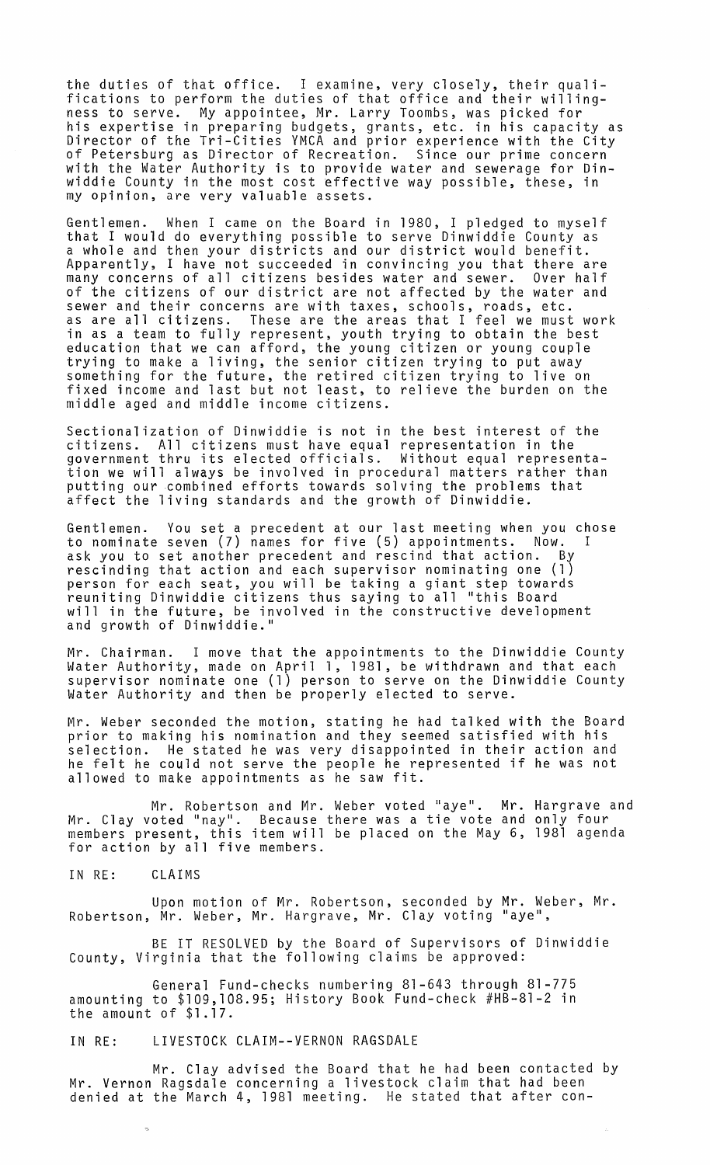the duties of that office. I examine, very closely, their qualifications to perform the duties of that office and their willingness to serve. My appointee, Mr. Larry Toombs, was picked for his expertise in preparing budgets, grants, etc. in his capacity as Director of the Tri-Cities YMCA and prior experience with the City of Petersburg as Director of Recreation. Since our prime concern with the Water Authority is to provide water and sewerage for Dinwiddie County in the most cost effective way possible, these, in my opinion, are very valuable assets.

Gentlemen. When I came on the Board in 1980, I pledged to myself that I would do everything possible to serve Dinwiddie County as a whole and then your districts and our district would benefit. Apparently, I have not succeeded in convincing *you* that there are many concerns of all citizens besides water and sewer. Over half of the citizens of our district are not affected by the water and sewer and their concerns are with taxes, schools, roads, etc. as are all citizens. These are the areas that I feel we must work in as a team to fully represent, youth trying to obtain the best education that we can afford, the young citizen or young couple trying to make a living, the senior citizen trying to put away something for the future, the retired citizen trying to live on fixed income and last but not least, to relieve the burden on the middle aged and middle income citizens.

Sectionalization of Dinwiddie is not in the best interest of the citizens. All citizens must have equal representation in the government thru its elected officials. Without equal representa- tion we will always be involved in procedural matters rather than putting our combined efforts towards solving the problems that affect the living standards and the growth of Dinwiddie.

Gentlemen. You set a precedent at our last meeting when *you* chose to nominate seven (7) names for five (5) appointments. Now. I ask you to set another precedent and rescind that action. By rescinding that action and each supervisor nominating one (1) person for each seat, *you* will be taking a giant step towards reuniting Dinwiddie citizens thus saying to all "this Board will in the future, be involved in the constructive development and growth of Dinwiddie."

Mr. Chairman. I move that the appointments to the Dinwiddie County Water Authority, made on April 1, 1981, be withdrawn and that each supervisor nominate one (1) person to serve on the Dinwiddie County Water Authority and then be properly elected to serve.

Mr. Weber seconded the motion, stating he had talked with the Board prior to making his nomination and they seemed satisfied with his selection. He stated he was very disappointed in their action and he felt he could not serve the people he represented if he was not allowed to make appointments as he saw fit.

Mr. Robertson and Mr. Weber voted "aye". Mr. Hargrave and Mr. Clay voted "nay". Because there was a tie vote and only four members present, this item will be placed on the May 6, 1981 agenda for action by all five members.

IN RE: CLAIMS

Upon motion of Mr. Robertson, seconded by Mr. Weber, Mr. Robertson, Mr. Weber, Mr. Hargrave, Mr. Clay voting "aye",

BE IT RESOLVED by the Board of Supervisors of Dinwiddie County, Virginia that the following claims be approved:

General Fund-checks numbering 81-643 through 81-775 amounting to \$109,108.95; History Book Fund-check #HB-81-2 in the amount of \$1.17.

IN RE: LIVESTOCK CLAIM--VERNON RAGSDALE

Mr. Clay advised the Board that he had been contacted by Mr. Vernon Ragsdale concerning a livestock claim that had been denied at the March 4, 1981 meeting. He stated that after con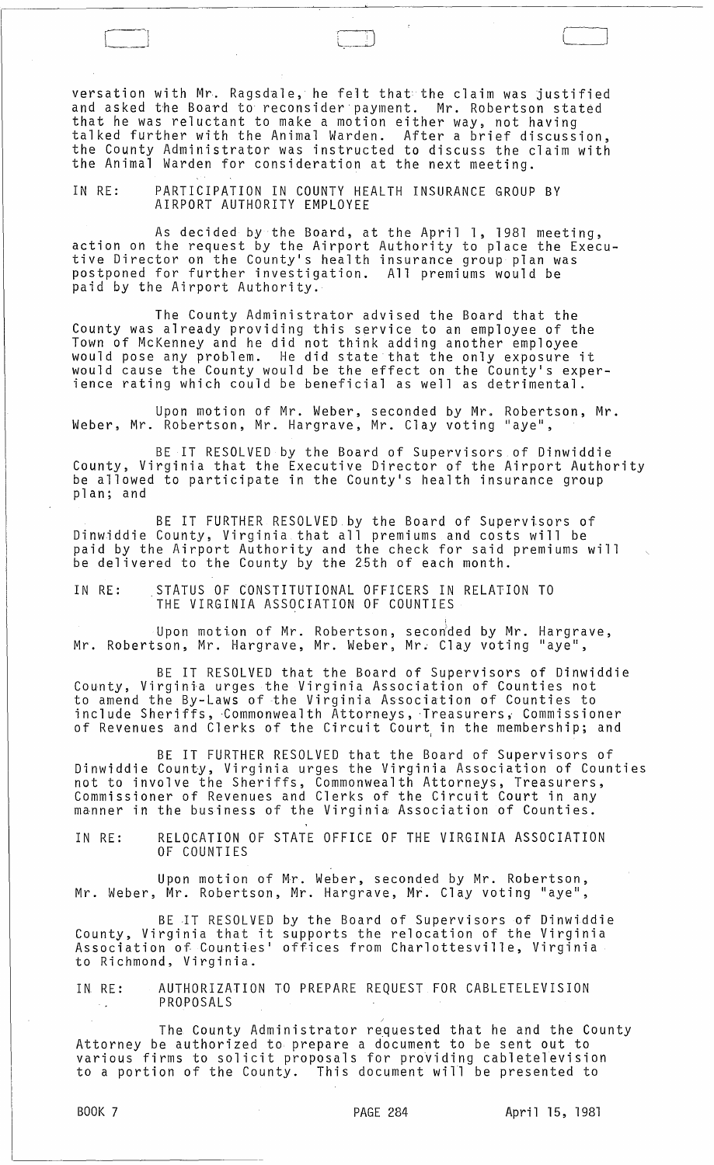versation with Mr. Ragsdale, he felt that the claim was justified and asked the Board to reconsider payment. Mr. Robertson stated that he was reluctant to make a motion either way, not having talked further with the Animal Warden. After a brief discussion, the County Administrator was instructed to discuss the claim with the Animal Warden for consideration at the next meeting.

IN RE: PARTICIPATION IN COUNTY HEALTH INSURANCE GROUP BY AIRPORT AUTHORITY EMPLOYEE

As decided by the Board, at the April 1, 1981 meeting, action on the request by the Airport Authority to place the Executive Director on the County's health insurance group plan was postponed for further investigation. All premiums would be paid by the Airport Authority.

The County Administrator advised the Board that the County was already providing this service to an employee of the Town of McKenney and he did not think adding another employee would pose any problem. He did state that the only exposure it would cause the County would be the effect on the County's exper- ience rating which could be beneficial as well as detrimental.

Upon motion of Mr. Weber, seconded by Mr. Robertson, Mr. Weber, Mr. Robertson, Mr. Hargrave, Mr. Clay voting "aye",

BE IT RESOLVED by the Board of Supervisors of Dinwiddie County, Virginia that the Executive Director of the Airport Authority be allowed to participate in the County's health insurance group<br>plan; and

BE IT FURTHER RESOLVED by the Board of Supervisors of Dinwiddie County, Virginia that all premiums and costs will be paid by the Airport Authority and the check for said premiums will  ${\rm \dot{b}}$ e delivered to the County by the 25th of each month.

IN RE: STATUS OF CONSTITUTIONAL OFFICERS IN RELATION TO THE VIRGINIA ASSOCIATION OF COUNTIES

Upon motion of Mr. Robertson, secon $\stackrel{\text{\scriptsize{\textsf{do}}}}{\text{\scriptsize{\textsf{ded}}}}$  by Mr. Hargrave, Mr. Robertson, Mr. Hargrave, Mr. Weber, Mr. Clay voting "aye",

BE IT RESOLVED that the Board of Supervisors of Dinwiddie County, Virginia urges the Virginia Association of Counties not to amend the By-Laws of the Virginia Association of Counties to include Sheriffs, -Commonwealth Attorneys, -Treasurersi Commissioner of Revenues and Clerks of the Circuit Court<sub>,</sub> in the membership; and

BE IT FURTHER RESOLVED that the Board of Supervisors of Dinwiddie County, Virginia urges the Virginia Association of Counties not to involve the Sheriffs, Commonwealth Attorneys, Treasurers, Commissioner of Revenues and Clerks of the Circuit Court in any manner in the business of the Virginia Association of Counties.

IN RE: RELOCATION OF STATE OFFICE OF THE VIRGINIA ASSOCIATION OF COUNTIES

Upon motion of Mr. Weber, seconded by Mr. Robertson, Mr. Weber, Mr. Robertson, Mr. Hargrave, Mr. Clay voting "aye",

BE IT RESOLVED by the Board of Supervisors of Dinwiddie County, Virginia that it supports the relocation of the Virginia Association of Counties' offices from Charlottesville, Virginia to Richmond, Virginia.

IN RE: AUTHORIZATION TO PREPARE REQUEST FOR CABLETELEVISION PROPOSALS  $\sim$   $\mu$ 

The County Administrator requested that he and the County Attorney be authorized to prepare a document to be sent out to various firms to solicit proposals for proViding cabletelevision to a portion of the County. This document will be presented to

/

 $\Box$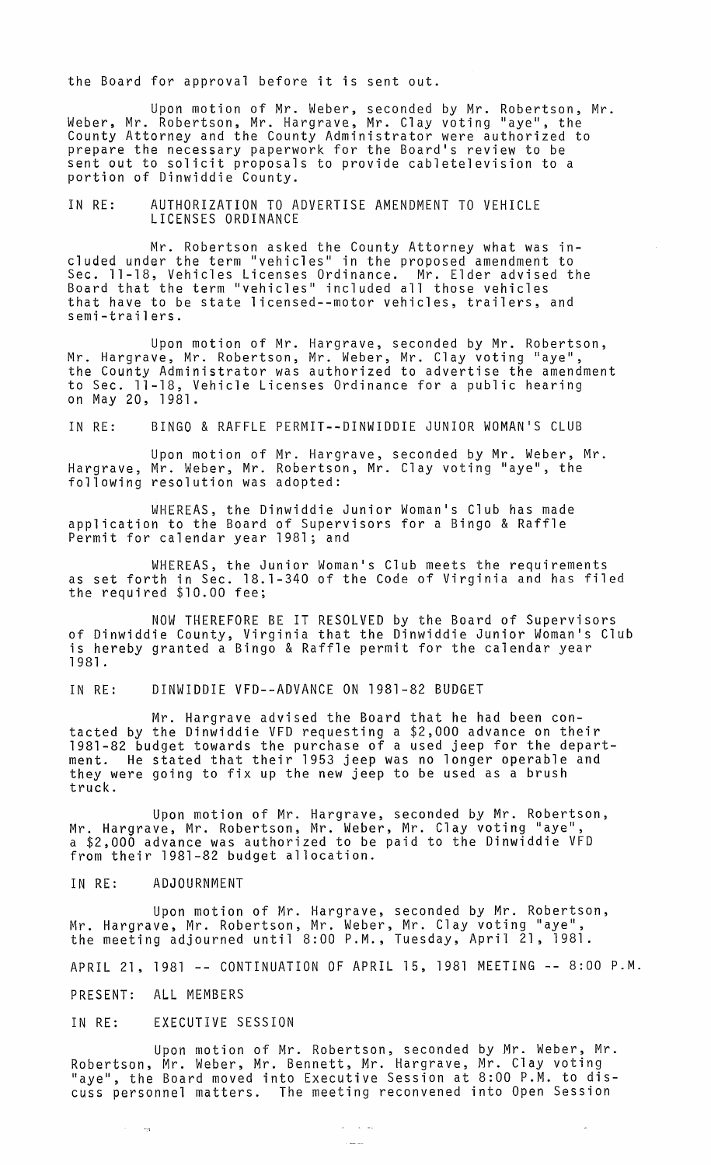the Board for approval before it is sent out.

Upon motion of Mr. Weber, seconded by Mr. Robertson, Mr. Weber, Mr. Robertson, Mr. Hargrave, Mr. Clay voting "aye", the County Attorney and the County Administrator were authorized to prepare the necessary paperwork for the Board's review to be sent out to solicit proposals to provide cabletelevision to a portion of Dinwiddie County.

## IN RE: AUTHORIZATION TO ADVERTISE AMENDMENT TO VEHICLE LICENSES ORDINANCE

Mr. Robertson asked the County Attorney what was included under the term "vehicles" in the proposed amendment to Sec. 11-18, Vehicles Licenses Ordinance. Mr. Elder advised the Board that the term "vehicles" included all those vehicles that have to be state licensed--motor vehicles, trailers, and semi-trailers.

Upon motion of Mr. Hargrave, seconded by Mr. Robertson, Mr. Hargrave, Mr. Robertson, Mr. Weber, Mr. Clay voting "aye", the County Administrator was authorized to advertise the amendment to Sec. 11-18, Vehicle Licenses Ordinance for a public hearing on May 20, 1981.

IN RE: BINGO & RAFFLE PERMIT--DINWIDDIE JUNIOR WOMAN'S CLUB

Upon motion of Mr. Hargrave, seconded by Mr. Weber, Mr. Hargrave, Mr. Weber, Mr. Robertson, Mr. Clay voting "aye", the following resolution was adopted:

WHEREAS, the Dinwiddie Junior Woman's Club has made application to the Board of Supervisors for a Bingo & Raffle Permit for calendar year 1981; and

WHEREAS, the Junior Woman's Club meets the requirements as set forth in Sec. 18.1-340 of the Code of Virginia and has filed the required \$10.00 fee;

NOW THEREFORE BE IT RESOLVED by the Board of Supervisors of Dinwiddie County, Virginia that the Dinwiddie Junior Woman's Club is hereby granted a Bingo & Raffle permit for the calendar year 1981 .

IN RE: DINWIDDIE VFD--ADVANCE ON 1981-82 BUDGET

Mr. Hargrave advised the Board that he had been contacted by the Dinwiddie VFD requesting a \$2,000 advance on their 1981-82 budget towards the purchase of a used jeep for the department. He stated that their 1953 jeep was no longer operable and they were going to fix up the new jeep to be used as a brush truck.

Upon motion of Mr. Hargrave, seconded by Mr. Robertson, Mr. Hargrave, Mr. Robertson, Mr. Weber, Mr. Clay voting "aye",<br>a \$2,000 advance was authorized to be paid to the Dinwiddie VFD from their 1981-82 budget allocation.

#### IN RE: ADJOURNMENT

Upon motion of Mr. Hargrave, seconded by Mr. Robertson, Mr. Hargrave, Mr. Robertson, Mr. Weber, Mr. Clay voting "aye",<br>the meeting adjourned until 8:00 P.M., Tuesday, April 21, 1981.

APRIL 21, 1981 **--** CONTINUATION OF APRIL 15, 1981 MEETING **--** 8:00 P.M.

PRESENT: ALL MEMBERS

## IN RE: EXECUTIVE SESSION

Upon motion of Mr. Robertson, seconded by Mr. Weber, Mr. Robertson, Mr. Weber, Mr. Bennett, Mr. Hargrave, Mr. Clay voting laye", the Board moved into Executive Session at 8:00 P.M. to discuss personnel matters. The meeting reconvened into Open Session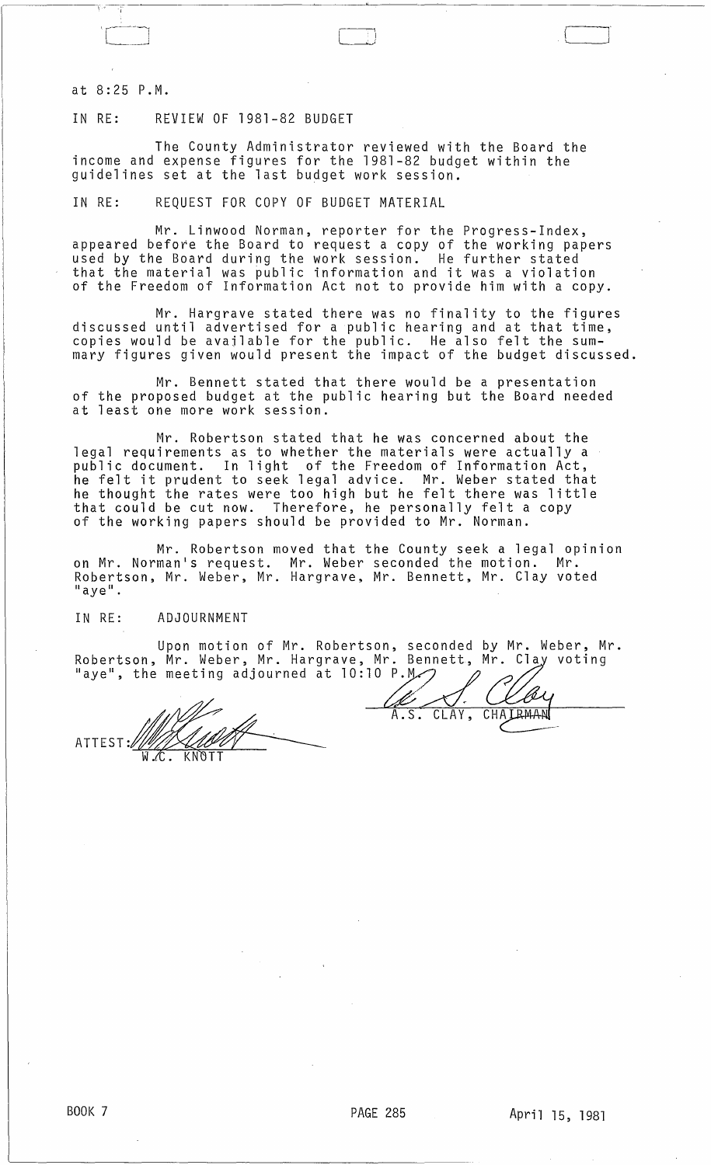at 8:25 P.M.

# IN RE: REVIEW OF 1981-82 BUDGET

The County Administrator reviewed with the Board the income and expense figures for the 1981-82 budget within the guidelines set at the last budget work session.

IN RE: REQUEST FOR COPY OF BUDGET MATERIAL

Mr. Linwood Norman, reporter for the Progress-Index, appeared before the Board to request a copy of the working papers used by the Board during the work session. He further stated that the material was public information and it was a violation of the Freedom of Information Act not to provide him with a copy.

Mr. Hargrave stated there was no finality to the figures discussed until advertised for a public hearing and at that time, copies would be available for the public. He also felt the summary figures given would present the impact of the budget discussed.

Mr. Bennett stated that there would be a presentation of the proposed budget at the public hearing but the Board needed at least one more work session.

Mr. Robertson stated that he was concerned about the legal requirements as to whether the materials were actually a public document. In light of the Freedom of Information Act, he felt it prudent to seek legal advice. Mr. Weber stated that he thought the rates were too high but he felt there was little that could be cut now. Therefore, he personally felt a copy of the working papers should be provided to Mr. Norman.

Mr. Robertson moved that the County seek a legal opinion on Mr. Norman's request. Mr. Weber seconded the motion. Mr. Robertson, Mr. Weber, Mr. Hargrave, Mr. Bennett, Mr. Clay voted "aye".

#### IN RE: ADJOURNMENT

Upon motion of Mr. Robertson, seconded by Mr. Weber, Mr. Robertson, Mr. Weber, Mr. Hargrave, Mr. Bennett, Mr. Clay voting<br>"aye", the meeting adjourned at 10:10 P.M. 2002

ATTEST:~ W.C. KN TT

Ø CLAY, CHAIRMAN  $A.5.$ 

 $\Box$ J1"